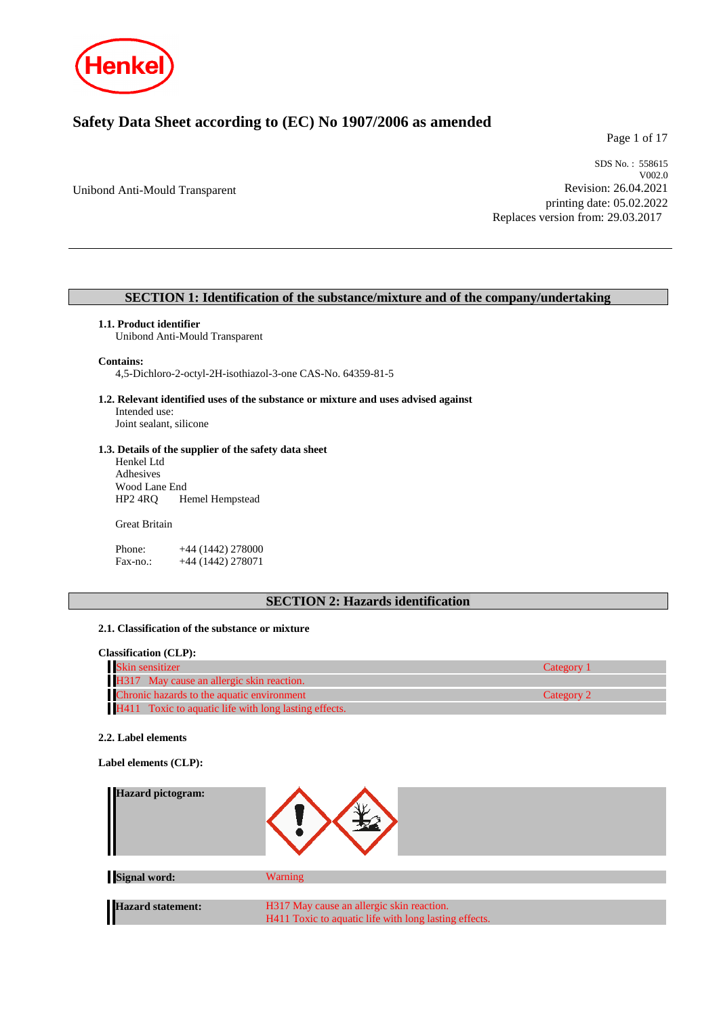

# **Safety Data Sheet according to (EC) No 1907/2006 as amended**

Page 1 of 17

Unibond Anti-Mould Transparent

SDS No. : 558615 V002.0 Revision: 26.04.2021 printing date: 05.02.2022 Replaces version from: 29.03.2017

# **SECTION 1: Identification of the substance/mixture and of the company/undertaking**

#### **1.1. Product identifier**

Unibond Anti-Mould Transparent

#### **Contains:**

4,5-Dichloro-2-octyl-2H-isothiazol-3-one CAS-No. 64359-81-5

**1.2. Relevant identified uses of the substance or mixture and uses advised against** Intended use:

Joint sealant, silicone

#### **1.3. Details of the supplier of the safety data sheet**

Henkel Ltd Adhesives Wood Lane End<br>HP2 4RQ He Hemel Hempstead

#### Great Britain

Phone: +44 (1442) 278000 Fax-no.: +44 (1442) 278071

# **SECTION 2: Hazards identification**

### **2.1. Classification of the substance or mixture**

### **Classification (CLP):**

| Skin sensitizer                                       | Category 1 |
|-------------------------------------------------------|------------|
| H317 May cause an allergic skin reaction.             |            |
| Chronic hazards to the aquatic environment            | Category 2 |
| H411 Toxic to aquatic life with long lasting effects. |            |

#### **2.2. Label elements**

**Label elements (CLP):**

| <b>Hazard pictogram:</b> |                                                       |  |
|--------------------------|-------------------------------------------------------|--|
| <b>Signal word:</b>      | <b>Warning</b>                                        |  |
| Hazard statement:        | H317 May cause an allergic skin reaction.             |  |
|                          | H411 Toxic to aquatic life with long lasting effects. |  |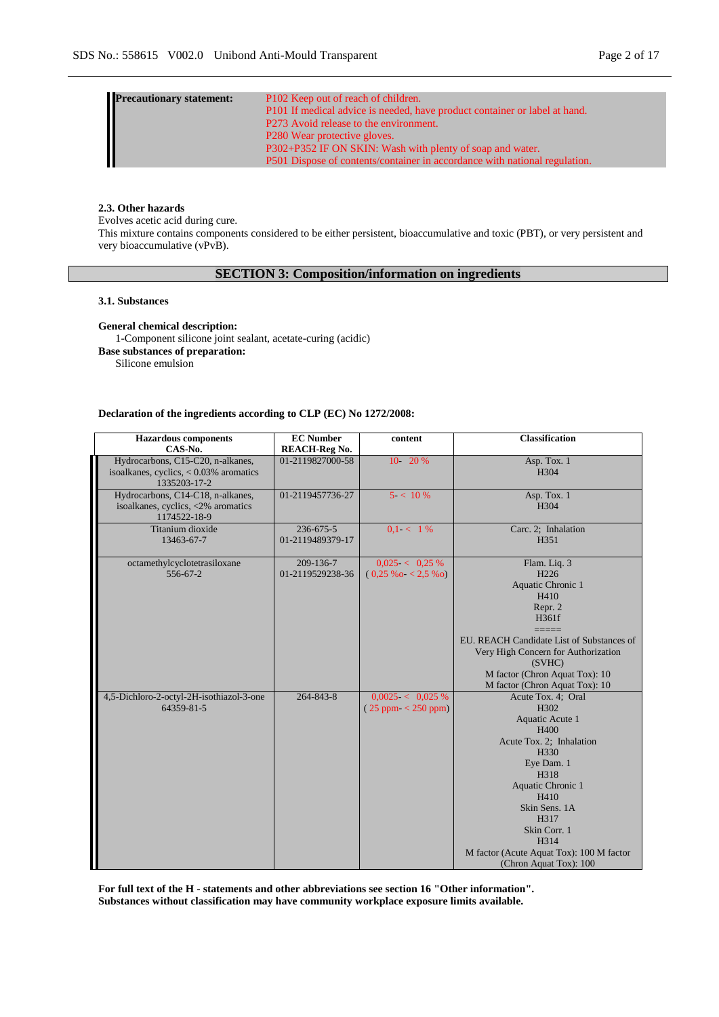| Precautionary statement:<br>Francisco Statement<br>Statement:<br>The Statement:<br>The Statement:<br>The Statement:<br>The Statement:<br>The Statement:<br>The Statement:<br>The Statement:<br>The Statement:<br>The Statement:<br>The Statement:<br>The | P102 Keep out of reach of children.                                        |
|----------------------------------------------------------------------------------------------------------------------------------------------------------------------------------------------------------------------------------------------------------|----------------------------------------------------------------------------|
|                                                                                                                                                                                                                                                          | P101 If medical advice is needed, have product container or label at hand. |
|                                                                                                                                                                                                                                                          | P273 Avoid release to the environment.                                     |
|                                                                                                                                                                                                                                                          | P <sub>280</sub> Wear protective gloves.                                   |
|                                                                                                                                                                                                                                                          | P302+P352 IF ON SKIN: Wash with plenty of soap and water.                  |
|                                                                                                                                                                                                                                                          | P501 Dispose of contents/container in accordance with national regulation. |

### **2.3. Other hazards**

Evolves acetic acid during cure. This mixture contains components considered to be either persistent, bioaccumulative and toxic (PBT), or very persistent and very bioaccumulative (vPvB).

# **SECTION 3: Composition/information on ingredients**

#### **3.1. Substances**

**General chemical description:**

1-Component silicone joint sealant, acetate-curing (acidic) **Base substances of preparation:** Silicone emulsion

#### **Declaration of the ingredients according to CLP (EC) No 1272/2008:**

| <b>Hazardous</b> components<br>CAS-No.                                                         | <b>EC</b> Number<br><b>REACH-Reg No.</b> | content                                          | <b>Classification</b>                                                                                                                                                                                                                                               |
|------------------------------------------------------------------------------------------------|------------------------------------------|--------------------------------------------------|---------------------------------------------------------------------------------------------------------------------------------------------------------------------------------------------------------------------------------------------------------------------|
| Hydrocarbons, C15-C20, n-alkanes,<br>isoalkanes, cyclics, $< 0.03\%$ aromatics<br>1335203-17-2 | 01-2119827000-58                         | 10-20%                                           | Asp. Tox. 1<br>H304                                                                                                                                                                                                                                                 |
| Hydrocarbons, C14-C18, n-alkanes,<br>isoalkanes, cyclics, <2% aromatics<br>1174522-18-9        | 01-2119457736-27                         | $5 < 10\%$                                       | Asp. Tox. 1<br>H304                                                                                                                                                                                                                                                 |
| Titanium dioxide<br>13463-67-7                                                                 | $236 - 675 - 5$<br>01-2119489379-17      | $0.1 < 1\%$                                      | Carc. 2; Inhalation<br>H351                                                                                                                                                                                                                                         |
| octamethylcyclotetrasiloxane<br>556-67-2                                                       | 209-136-7<br>01-2119529238-36            | $0.025 < 0.25 \%$<br>$(0.25\%o - 2.5\%o)$        | Flam. Liq. 3<br>H <sub>226</sub><br>Aquatic Chronic 1<br>H410<br>Repr. 2<br>H361f<br>EU. REACH Candidate List of Substances of<br>Very High Concern for Authorization<br>(SVHC)<br>M factor (Chron Aquat Tox): 10<br>M factor (Chron Aquat Tox): 10                 |
| 4,5-Dichloro-2-octyl-2H-isothiazol-3-one<br>64359-81-5                                         | 264-843-8                                | $0,0025 < 0,025 \%$<br>$(25$ ppm $\leq$ 250 ppm) | Acute Tox. 4; Oral<br>H302<br>Aquatic Acute 1<br>H400<br>Acute Tox. 2; Inhalation<br>H330<br>Eye Dam. 1<br>H318<br>Aquatic Chronic 1<br>H410<br>Skin Sens. 1A<br>H317<br>Skin Corr. 1<br>H314<br>M factor (Acute Aquat Tox): 100 M factor<br>(Chron Aquat Tox): 100 |

**For full text of the H - statements and other abbreviations see section 16 "Other information". Substances without classification may have community workplace exposure limits available.**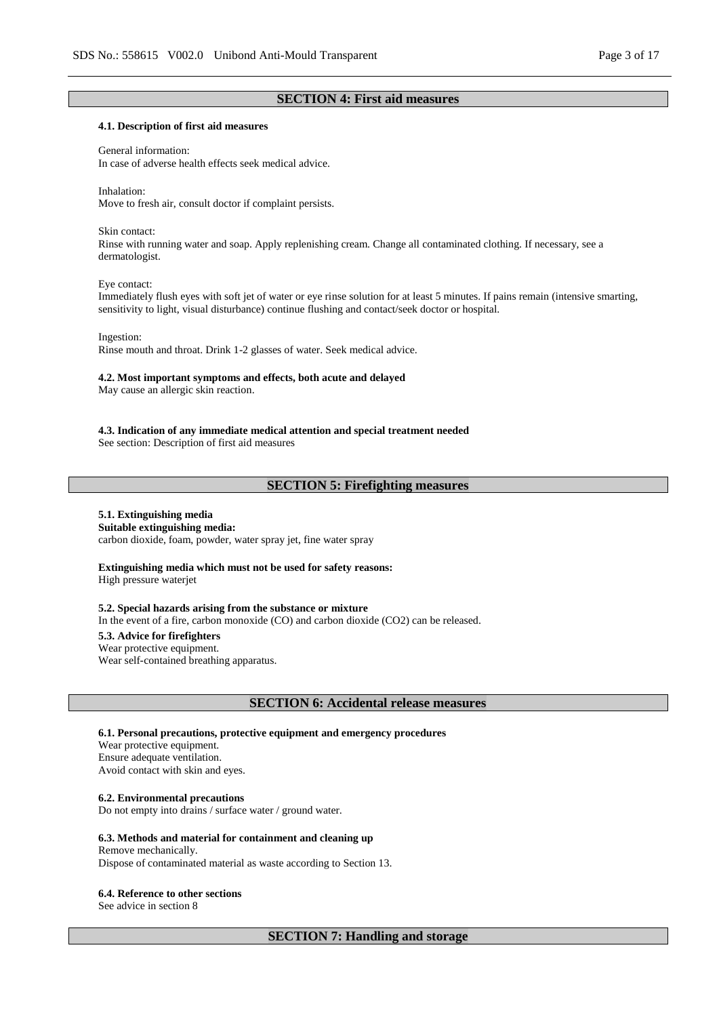### **SECTION 4: First aid measures**

#### **4.1. Description of first aid measures**

#### General information:

In case of adverse health effects seek medical advice.

Inhalation: Move to fresh air, consult doctor if complaint persists.

#### Skin contact:

Rinse with running water and soap. Apply replenishing cream. Change all contaminated clothing. If necessary, see a dermatologist.

#### Eye contact:

Immediately flush eyes with soft jet of water or eye rinse solution for at least 5 minutes. If pains remain (intensive smarting, sensitivity to light, visual disturbance) continue flushing and contact/seek doctor or hospital.

#### Ingestion:

Rinse mouth and throat. Drink 1-2 glasses of water. Seek medical advice.

#### **4.2. Most important symptoms and effects, both acute and delayed**

May cause an allergic skin reaction.

**4.3. Indication of any immediate medical attention and special treatment needed**

See section: Description of first aid measures

# **SECTION 5: Firefighting measures**

# **5.1. Extinguishing media**

**Suitable extinguishing media:** carbon dioxide, foam, powder, water spray jet, fine water spray

#### **Extinguishing media which must not be used for safety reasons:** High pressure waterjet

#### **5.2. Special hazards arising from the substance or mixture**

In the event of a fire, carbon monoxide (CO) and carbon dioxide (CO2) can be released.

#### **5.3. Advice for firefighters**

Wear protective equipment.

Wear self-contained breathing apparatus.

#### **SECTION 6: Accidental release measures**

#### **6.1. Personal precautions, protective equipment and emergency procedures**

Wear protective equipment. Ensure adequate ventilation. Avoid contact with skin and eyes.

#### **6.2. Environmental precautions**

Do not empty into drains / surface water / ground water.

#### **6.3. Methods and material for containment and cleaning up**

#### Remove mechanically. Dispose of contaminated material as waste according to Section 13.

#### **6.4. Reference to other sections**

See advice in section 8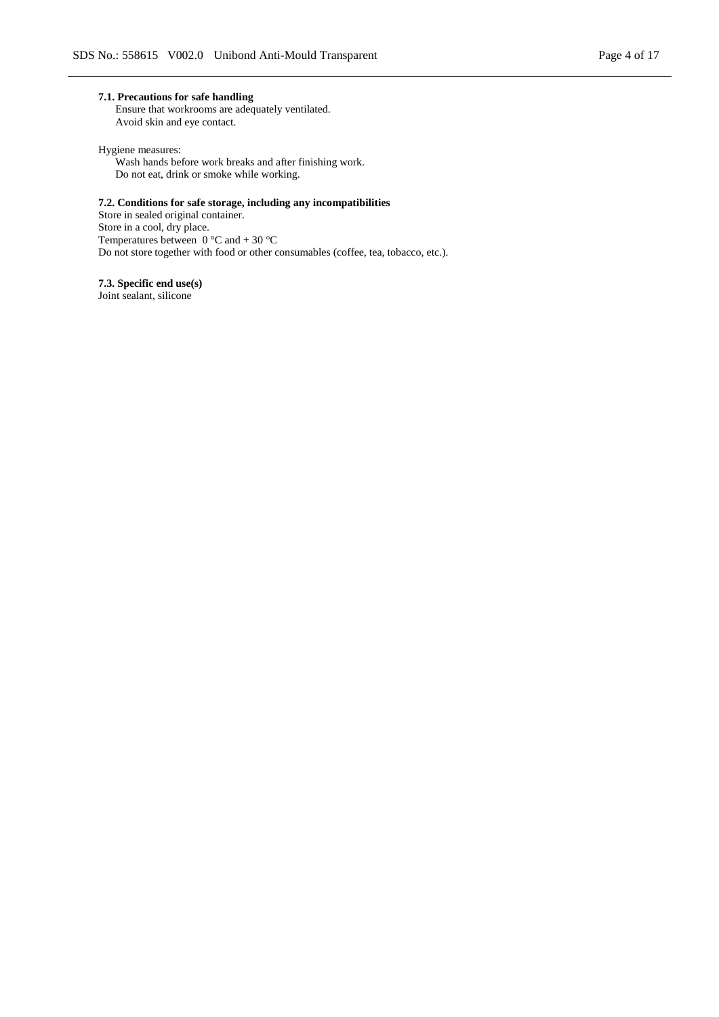#### **7.1. Precautions for safe handling**

Ensure that workrooms are adequately ventilated. Avoid skin and eye contact.

Hygiene measures:

Wash hands before work breaks and after finishing work. Do not eat, drink or smoke while working.

### **7.2. Conditions for safe storage, including any incompatibilities**

Store in sealed original container. Store in a cool, dry place. Temperatures between  $0^{\circ}$ C and  $+ 30^{\circ}$ C Do not store together with food or other consumables (coffee, tea, tobacco, etc.).

**7.3. Specific end use(s)** Joint sealant, silicone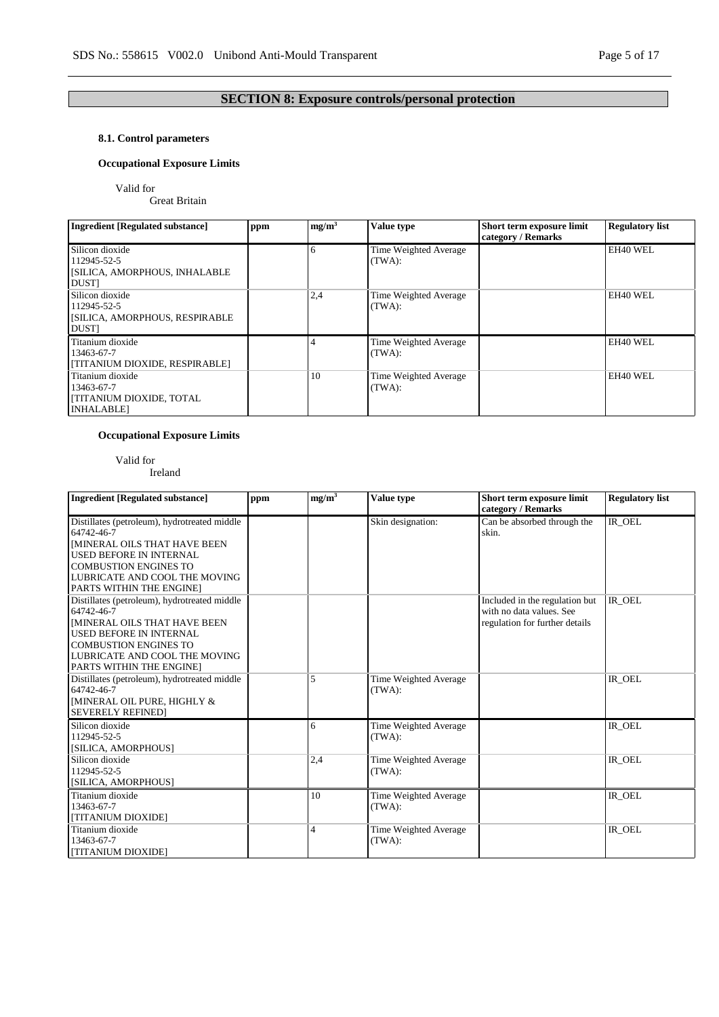# **SECTION 8: Exposure controls/personal protection**

## **8.1. Control parameters**

## **Occupational Exposure Limits**

Valid for

Great Britain

| <b>Ingredient [Regulated substance]</b>                                               | ppm | mg/m <sup>3</sup> | Value type                      | Short term exposure limit<br>category / Remarks | <b>Regulatory list</b> |
|---------------------------------------------------------------------------------------|-----|-------------------|---------------------------------|-------------------------------------------------|------------------------|
| Silicon dioxide<br>112945-52-5<br>[SILICA, AMORPHOUS, INHALABLE<br><b>DUST</b>        |     |                   | Time Weighted Average<br>(TWA): |                                                 | EH40 WEL               |
| Silicon dioxide<br>112945-52-5<br>[SILICA, AMORPHOUS, RESPIRABLE<br><b>DUST</b>       |     | 2,4               | Time Weighted Average<br>(TWA): |                                                 | EH40 WEL               |
| Titanium dioxide<br>13463-67-7<br>[TITANIUM DIOXIDE, RESPIRABLE]                      |     |                   | Time Weighted Average<br>(TWA): |                                                 | EH40 WEL               |
| Titanium dioxide<br>13463-67-7<br><b>[TITANIUM DIOXIDE, TOTAL</b><br><b>INHALABLE</b> |     | 10                | Time Weighted Average<br>(TWA): |                                                 | EH40 WEL               |

## **Occupational Exposure Limits**

Valid for

Ireland

| <b>Ingredient [Regulated substance]</b>                                                                                                                                                                                          | ppm | mg/m <sup>3</sup> | Value type                      | Short term exposure limit<br>category / Remarks                                              | <b>Regulatory list</b> |
|----------------------------------------------------------------------------------------------------------------------------------------------------------------------------------------------------------------------------------|-----|-------------------|---------------------------------|----------------------------------------------------------------------------------------------|------------------------|
| Distillates (petroleum), hydrotreated middle<br>64742-46-7<br><b>IMINERAL OILS THAT HAVE BEEN</b><br><b>USED BEFORE IN INTERNAL</b><br><b>COMBUSTION ENGINES TO</b><br>LUBRICATE AND COOL THE MOVING<br>PARTS WITHIN THE ENGINE] |     |                   | Skin designation:               | Can be absorbed through the<br>skin.                                                         | IR_OEL                 |
| Distillates (petroleum), hydrotreated middle<br>64742-46-7<br><b>IMINERAL OILS THAT HAVE BEEN</b><br><b>USED BEFORE IN INTERNAL</b><br><b>COMBUSTION ENGINES TO</b><br>LUBRICATE AND COOL THE MOVING<br>PARTS WITHIN THE ENGINE] |     |                   |                                 | Included in the regulation but<br>with no data values. See<br>regulation for further details | IR OEL                 |
| Distillates (petroleum), hydrotreated middle<br>64742-46-7<br>[MINERAL OIL PURE, HIGHLY &<br><b>SEVERELY REFINED1</b>                                                                                                            |     | 5                 | Time Weighted Average<br>(TWA): |                                                                                              | IR_OEL                 |
| Silicon dioxide<br>112945-52-5<br>[SILICA, AMORPHOUS]                                                                                                                                                                            |     | 6                 | Time Weighted Average<br>(TWA): |                                                                                              | $IR$ <sup>OEL</sup>    |
| Silicon dioxide<br>112945-52-5<br>[SILICA, AMORPHOUS]                                                                                                                                                                            |     | 2,4               | Time Weighted Average<br>(TWA): |                                                                                              | IR_OEL                 |
| Titanium dioxide<br>13463-67-7<br>[TITANIUM DIOXIDE]                                                                                                                                                                             |     | 10                | Time Weighted Average<br>(TWA): |                                                                                              | IR OEL                 |
| Titanium dioxide<br>13463-67-7<br>[TITANIUM DIOXIDE]                                                                                                                                                                             |     | 4                 | Time Weighted Average<br>(TWA): |                                                                                              | IR OEL                 |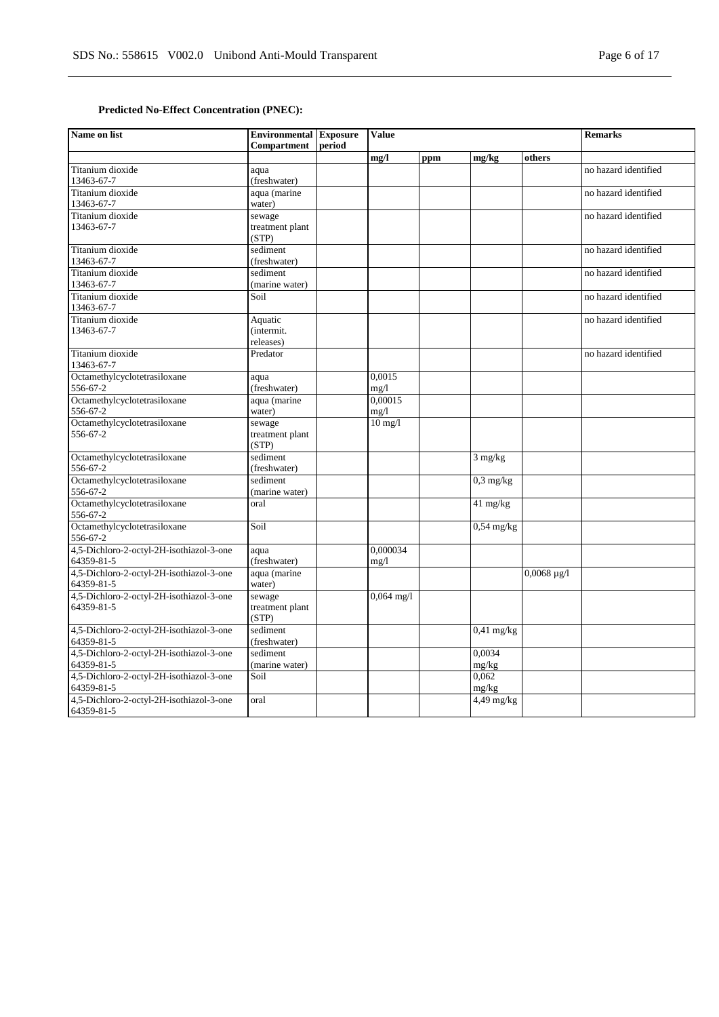# **Predicted No-Effect Concentration (PNEC):**

| Name on list                                           | <b>Environmental</b> Exposure<br><b>Compartment</b> | period | <b>Value</b>      |     |                   |                       | <b>Remarks</b>       |
|--------------------------------------------------------|-----------------------------------------------------|--------|-------------------|-----|-------------------|-----------------------|----------------------|
|                                                        |                                                     |        | mg/l              | ppm | mg/kg             | others                |                      |
| Titanium dioxide                                       | aqua                                                |        |                   |     |                   |                       | no hazard identified |
| 13463-67-7                                             | (freshwater)                                        |        |                   |     |                   |                       |                      |
| Titanium dioxide                                       | aqua (marine                                        |        |                   |     |                   |                       | no hazard identified |
| 13463-67-7                                             | water)                                              |        |                   |     |                   |                       |                      |
| Titanium dioxide                                       | sewage                                              |        |                   |     |                   |                       | no hazard identified |
| 13463-67-7                                             | treatment plant                                     |        |                   |     |                   |                       |                      |
| Titanium dioxide                                       | (STP)<br>sediment                                   |        |                   |     |                   |                       | no hazard identified |
| 13463-67-7                                             | (freshwater)                                        |        |                   |     |                   |                       |                      |
| Titanium dioxide                                       | sediment                                            |        |                   |     |                   |                       | no hazard identified |
| 13463-67-7                                             | (marine water)                                      |        |                   |     |                   |                       |                      |
| Titanium dioxide                                       | Soil                                                |        |                   |     |                   |                       | no hazard identified |
| 13463-67-7                                             |                                                     |        |                   |     |                   |                       |                      |
| Titanium dioxide                                       | Aquatic                                             |        |                   |     |                   |                       | no hazard identified |
| 13463-67-7                                             | (intermit.                                          |        |                   |     |                   |                       |                      |
|                                                        | releases)                                           |        |                   |     |                   |                       |                      |
| Titanium dioxide                                       | Predator                                            |        |                   |     |                   |                       | no hazard identified |
| 13463-67-7                                             |                                                     |        |                   |     |                   |                       |                      |
| Octamethylcyclotetrasiloxane                           | aqua                                                |        | 0,0015            |     |                   |                       |                      |
| 556-67-2                                               | (freshwater)                                        |        | mg/1              |     |                   |                       |                      |
| Octamethylcyclotetrasiloxane                           | aqua (marine                                        |        | 0.00015           |     |                   |                       |                      |
| 556-67-2<br>Octamethylcyclotetrasiloxane               | water)                                              |        | mg/1<br>$10$ mg/l |     |                   |                       |                      |
| 556-67-2                                               | sewage<br>treatment plant                           |        |                   |     |                   |                       |                      |
|                                                        | (STP)                                               |        |                   |     |                   |                       |                      |
| Octamethylcyclotetrasiloxane                           | sediment                                            |        |                   |     | $3 \text{ mg/kg}$ |                       |                      |
| 556-67-2                                               | (freshwater)                                        |        |                   |     |                   |                       |                      |
| Octamethylcyclotetrasiloxane                           | sediment                                            |        |                   |     | $0,3$ mg/kg       |                       |                      |
| 556-67-2                                               | (marine water)                                      |        |                   |     |                   |                       |                      |
| Octamethylcyclotetrasiloxane                           | oral                                                |        |                   |     | 41 mg/kg          |                       |                      |
| 556-67-2                                               |                                                     |        |                   |     |                   |                       |                      |
| Octamethylcyclotetrasiloxane                           | Soil                                                |        |                   |     | $0,54$ mg/kg      |                       |                      |
| 556-67-2                                               |                                                     |        |                   |     |                   |                       |                      |
| 4,5-Dichloro-2-octyl-2H-isothiazol-3-one               | aqua                                                |        | 0.000034          |     |                   |                       |                      |
| 64359-81-5<br>4,5-Dichloro-2-octyl-2H-isothiazol-3-one | (freshwater)                                        |        | mg/1              |     |                   |                       |                      |
| 64359-81-5                                             | aqua (marine<br>water)                              |        |                   |     |                   | $0,0068 \text{ µg}/1$ |                      |
| 4,5-Dichloro-2-octyl-2H-isothiazol-3-one               | sewage                                              |        | $0,064$ mg/l      |     |                   |                       |                      |
| 64359-81-5                                             | treatment plant                                     |        |                   |     |                   |                       |                      |
|                                                        | (STP)                                               |        |                   |     |                   |                       |                      |
| 4,5-Dichloro-2-octyl-2H-isothiazol-3-one               | sediment                                            |        |                   |     | $0,41$ mg/kg      |                       |                      |
| 64359-81-5                                             | (freshwater)                                        |        |                   |     |                   |                       |                      |
| 4,5-Dichloro-2-octyl-2H-isothiazol-3-one               | sediment                                            |        |                   |     | 0,0034            |                       |                      |
| 64359-81-5                                             | (marine water)                                      |        |                   |     | mg/kg             |                       |                      |
| 4,5-Dichloro-2-octyl-2H-isothiazol-3-one               | Soil                                                |        |                   |     | 0.062             |                       |                      |
| 64359-81-5                                             |                                                     |        |                   |     | mg/kg             |                       |                      |
| 4,5-Dichloro-2-octyl-2H-isothiazol-3-one               | oral                                                |        |                   |     | $4,49$ mg/kg      |                       |                      |
| 64359-81-5                                             |                                                     |        |                   |     |                   |                       |                      |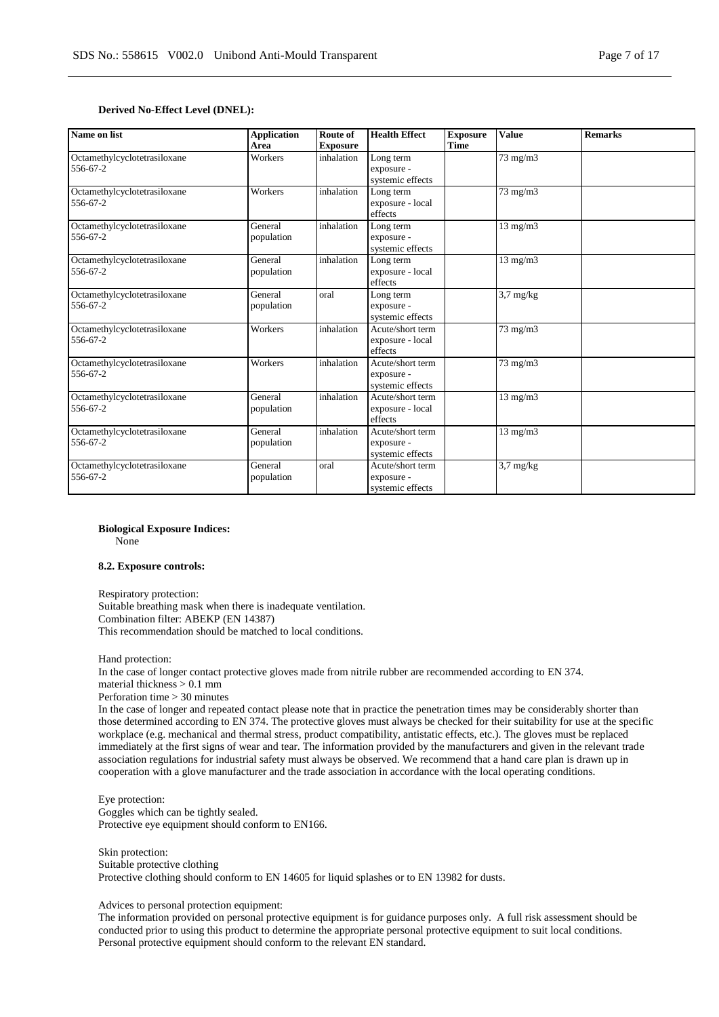#### **Derived No-Effect Level (DNEL):**

| Name on list                             | <b>Application</b><br>Area | <b>Route of</b><br><b>Exposure</b> | <b>Health Effect</b>                               | <b>Exposure</b><br>Time | <b>Value</b>              | <b>Remarks</b> |
|------------------------------------------|----------------------------|------------------------------------|----------------------------------------------------|-------------------------|---------------------------|----------------|
| Octamethylcyclotetrasiloxane<br>556-67-2 | Workers                    | inhalation                         | Long term<br>exposure -<br>systemic effects        |                         | $\frac{73 \text{ mg}}{m}$ |                |
| Octamethylcyclotetrasiloxane<br>556-67-2 | Workers                    | inhalation                         | Long term<br>exposure - local<br>effects           |                         | $73$ mg/m $3$             |                |
| Octamethylcyclotetrasiloxane<br>556-67-2 | General<br>population      | inhalation                         | Long term<br>exposure -<br>systemic effects        |                         | $13$ mg/m $3$             |                |
| Octamethylcyclotetrasiloxane<br>556-67-2 | General<br>population      | inhalation                         | Long term<br>exposure - local<br>effects           |                         | $13$ mg/m $3$             |                |
| Octamethylcyclotetrasiloxane<br>556-67-2 | General<br>population      | oral                               | Long term<br>exposure -<br>systemic effects        |                         | $3.7 \text{ mg/kg}$       |                |
| Octamethylcyclotetrasiloxane<br>556-67-2 | Workers                    | inhalation                         | Acute/short term<br>exposure - local<br>effects    |                         | 73 mg/m3                  |                |
| Octamethylcyclotetrasiloxane<br>556-67-2 | Workers                    | inhalation                         | Acute/short term<br>exposure -<br>systemic effects |                         | $73$ mg/m $3$             |                |
| Octamethylcyclotetrasiloxane<br>556-67-2 | General<br>population      | inhalation                         | Acute/short term<br>exposure - local<br>effects    |                         | $13$ mg/m $3$             |                |
| Octamethylcyclotetrasiloxane<br>556-67-2 | General<br>population      | inhalation                         | Acute/short term<br>exposure -<br>systemic effects |                         | $13$ mg/m $3$             |                |
| Octamethylcyclotetrasiloxane<br>556-67-2 | General<br>population      | oral                               | Acute/short term<br>exposure -<br>systemic effects |                         | $3,7$ mg/kg               |                |

**Biological Exposure Indices:**

None

#### **8.2. Exposure controls:**

Respiratory protection: Suitable breathing mask when there is inadequate ventilation. Combination filter: ABEKP (EN 14387) This recommendation should be matched to local conditions.

Hand protection: In the case of longer contact protective gloves made from nitrile rubber are recommended according to EN 374. material thickness > 0.1 mm

Perforation time > 30 minutes

In the case of longer and repeated contact please note that in practice the penetration times may be considerably shorter than those determined according to EN 374. The protective gloves must always be checked for their suitability for use at the specific workplace (e.g. mechanical and thermal stress, product compatibility, antistatic effects, etc.). The gloves must be replaced immediately at the first signs of wear and tear. The information provided by the manufacturers and given in the relevant trade association regulations for industrial safety must always be observed. We recommend that a hand care plan is drawn up in cooperation with a glove manufacturer and the trade association in accordance with the local operating conditions.

Eye protection: Goggles which can be tightly sealed. Protective eye equipment should conform to EN166.

Skin protection: Suitable protective clothing Protective clothing should conform to EN 14605 for liquid splashes or to EN 13982 for dusts.

Advices to personal protection equipment:

The information provided on personal protective equipment is for guidance purposes only. A full risk assessment should be conducted prior to using this product to determine the appropriate personal protective equipment to suit local conditions. Personal protective equipment should conform to the relevant EN standard.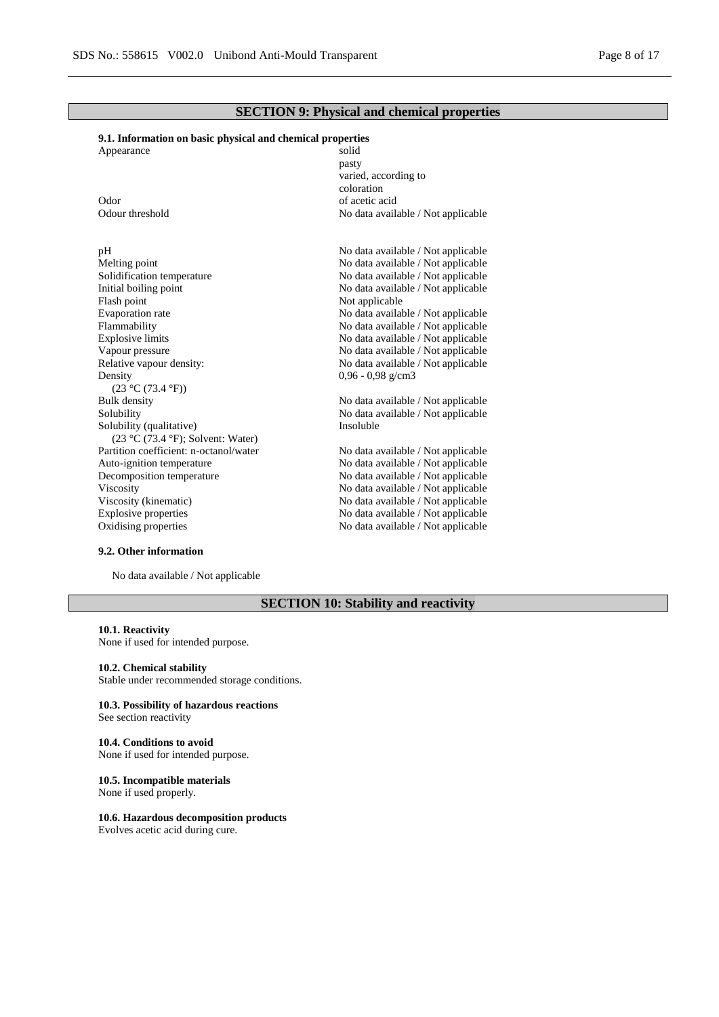## **SECTION 9: Physical and chemical properties**

### **9.1. Information on basic physical and chemical properties**

| Appearance                             | solid                              |
|----------------------------------------|------------------------------------|
|                                        | pasty                              |
|                                        | varied, according to               |
|                                        | coloration                         |
| Odor                                   | of acetic acid                     |
| Odour threshold                        | No data available / Not applicable |
|                                        |                                    |
| pH                                     | No data available / Not applicable |
| Melting point                          | No data available / Not applicable |
| Solidification temperature             | No data available / Not applicable |
| Initial boiling point                  | No data available / Not applicable |
| Flash point                            | Not applicable                     |
| Evaporation rate                       | No data available / Not applicable |
| Flammability                           | No data available / Not applicable |
| <b>Explosive limits</b>                | No data available / Not applicable |
| Vapour pressure                        | No data available / Not applicable |
| Relative vapour density:               | No data available / Not applicable |
| Density                                | $0,96 - 0,98$ g/cm3                |
| (23 °C (73.4 °F))                      |                                    |
| <b>Bulk</b> density                    | No data available / Not applicable |
| Solubility                             | No data available / Not applicable |
| Solubility (qualitative)               | Insoluble                          |
| $(23 °C (73.4 °F))$ ; Solvent: Water)  |                                    |
| Partition coefficient: n-octanol/water | No data available / Not applicable |
| Auto-ignition temperature              | No data available / Not applicable |
| Decomposition temperature              | No data available / Not applicable |
| Viscosity                              | No data available / Not applicable |
| Viscosity (kinematic)                  | No data available / Not applicable |
| Explosive properties                   | No data available / Not applicable |
| Oxidising properties                   | No data available / Not applicable |
|                                        |                                    |

### **9.2. Other information**

No data available / Not applicable

# **SECTION 10: Stability and reactivity**

#### **10.1. Reactivity** None if used for intended purpose.

## **10.2. Chemical stability**

Stable under recommended storage conditions.

#### **10.3. Possibility of hazardous reactions** See section reactivity

#### **10.4. Conditions to avoid** None if used for intended purpose.

#### **10.5. Incompatible materials** None if used properly.

### **10.6. Hazardous decomposition products**

Evolves acetic acid during cure.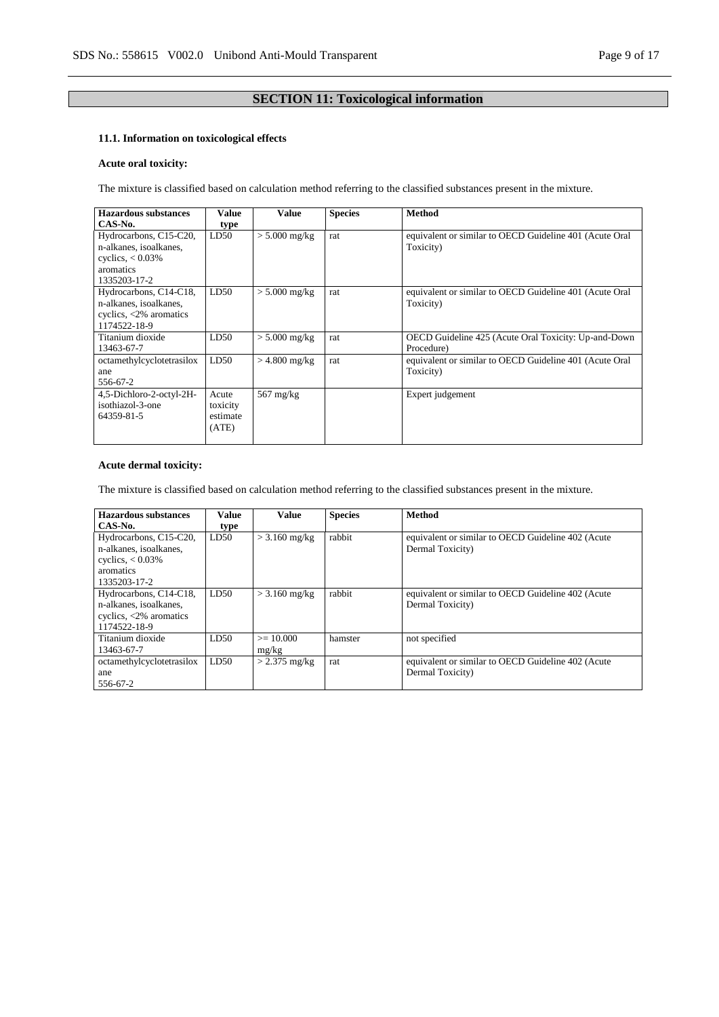# **SECTION 11: Toxicological information**

# **11.1. Information on toxicological effects**

## **Acute oral toxicity:**

The mixture is classified based on calculation method referring to the classified substances present in the mixture.

| Hazardous substances             | Value    | <b>Value</b>        | <b>Species</b> | <b>Method</b>                                           |
|----------------------------------|----------|---------------------|----------------|---------------------------------------------------------|
| CAS-No.                          | type     |                     |                |                                                         |
| Hydrocarbons, C15-C20,           | LD50     | $> 5.000$ mg/kg     | rat            | equivalent or similar to OECD Guideline 401 (Acute Oral |
| n-alkanes, isoalkanes,           |          |                     |                | Toxicity)                                               |
| cyclics, $< 0.03\%$              |          |                     |                |                                                         |
| aromatics                        |          |                     |                |                                                         |
| 1335203-17-2                     |          |                     |                |                                                         |
| Hydrocarbons, C14-C18,           | LD50     | $> 5.000$ mg/kg     | rat            | equivalent or similar to OECD Guideline 401 (Acute Oral |
| n-alkanes, isoalkanes,           |          |                     |                | Toxicity)                                               |
| cyclics, $\langle 2\%$ aromatics |          |                     |                |                                                         |
| 1174522-18-9                     |          |                     |                |                                                         |
| Titanium dioxide                 | LD50     | $> 5.000$ mg/kg     | rat            | OECD Guideline 425 (Acute Oral Toxicity: Up-and-Down    |
| 13463-67-7                       |          |                     |                | Procedure)                                              |
| octamethylcyclotetrasilox        | LD50     | $>$ 4.800 mg/kg     | rat            | equivalent or similar to OECD Guideline 401 (Acute Oral |
| ane                              |          |                     |                | Toxicity)                                               |
| 556-67-2                         |          |                     |                |                                                         |
| 4,5-Dichloro-2-octyl-2H-         | Acute    | $567 \text{ mg/kg}$ |                | Expert judgement                                        |
| isothiazol-3-one                 | toxicity |                     |                |                                                         |
| 64359-81-5                       | estimate |                     |                |                                                         |
|                                  | (ATE)    |                     |                |                                                         |
|                                  |          |                     |                |                                                         |

## **Acute dermal toxicity:**

The mixture is classified based on calculation method referring to the classified substances present in the mixture.

| <b>Hazardous</b> substances      | Value | <b>Value</b>    | <b>Species</b> | <b>Method</b>                                      |
|----------------------------------|-------|-----------------|----------------|----------------------------------------------------|
| CAS-No.                          | type  |                 |                |                                                    |
| Hydrocarbons, C15-C20,           | LD50  | $>$ 3.160 mg/kg | rabbit         | equivalent or similar to OECD Guideline 402 (Acute |
| n-alkanes, isoalkanes,           |       |                 |                | Dermal Toxicity)                                   |
| cyclics, $< 0.03\%$              |       |                 |                |                                                    |
| aromatics                        |       |                 |                |                                                    |
| 1335203-17-2                     |       |                 |                |                                                    |
| Hydrocarbons, C14-C18,           | LD50  | $>$ 3.160 mg/kg | rabbit         | equivalent or similar to OECD Guideline 402 (Acute |
| n-alkanes, isoalkanes,           |       |                 |                | Dermal Toxicity)                                   |
| cyclics, $\langle 2\%$ aromatics |       |                 |                |                                                    |
| 1174522-18-9                     |       |                 |                |                                                    |
| Titanium dioxide                 | LD50  | $\geq 10.000$   | hamster        | not specified                                      |
| 13463-67-7                       |       | mg/kg           |                |                                                    |
| octamethylcyclotetrasilox        | LD50  | $>$ 2.375 mg/kg | rat            | equivalent or similar to OECD Guideline 402 (Acute |
| ane                              |       |                 |                | Dermal Toxicity)                                   |
| 556-67-2                         |       |                 |                |                                                    |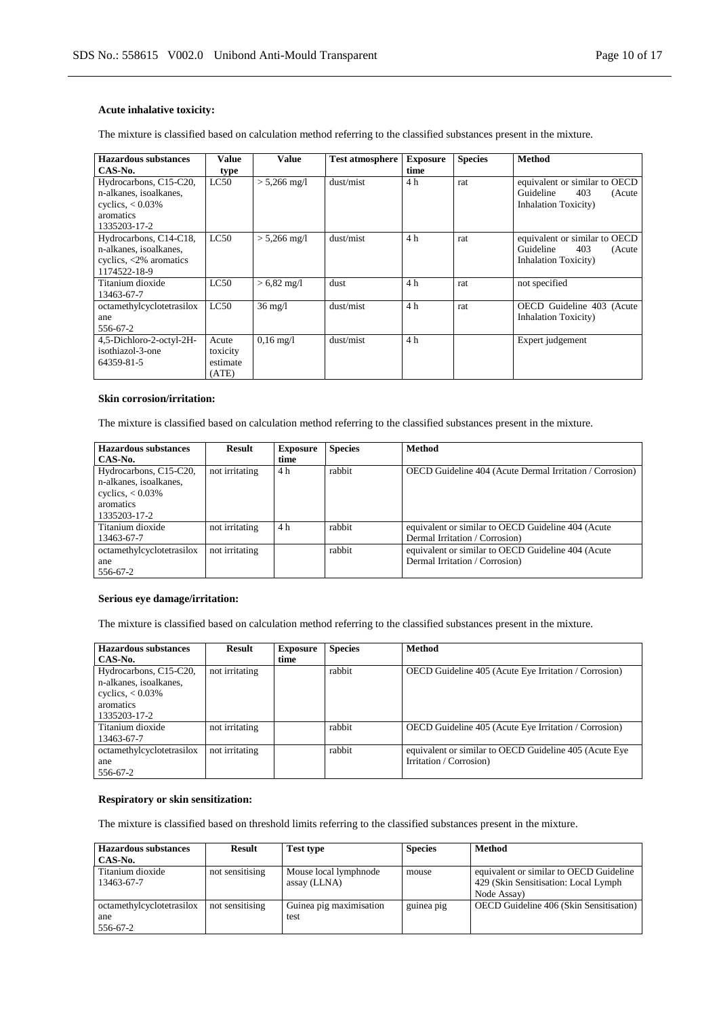### **Acute inhalative toxicity:**

The mixture is classified based on calculation method referring to the classified substances present in the mixture.

| Hazardous substances                                                                                 | Value                                  | Value                  | <b>Test atmosphere</b> | <b>Exposure</b> | <b>Species</b> | <b>Method</b>                                                                                |
|------------------------------------------------------------------------------------------------------|----------------------------------------|------------------------|------------------------|-----------------|----------------|----------------------------------------------------------------------------------------------|
| CAS-No.                                                                                              | type                                   |                        |                        | time            |                |                                                                                              |
| Hydrocarbons, C15-C20,<br>n-alkanes, isoalkanes,<br>cyclics, $< 0.03\%$<br>aromatics<br>1335203-17-2 | LC50                                   | $> 5,266$ mg/l         | dust/mist              | 4 h             | rat            | equivalent or similar to OECD<br>Guideline<br>403<br>(Acute<br><b>Inhalation Toxicity</b> )  |
| Hydrocarbons, C14-C18,<br>n-alkanes, isoalkanes,<br>cyclics, $\langle 2\%$ aromatics<br>1174522-18-9 | LC50                                   | $> 5,266$ mg/l         | dust/mist              | 4 h             | rat            | equivalent or similar to OECD<br>Guideline<br>403<br>(Acute)<br><b>Inhalation Toxicity</b> ) |
| Titanium dioxide<br>13463-67-7                                                                       | LC50                                   | $> 6.82$ mg/l          | dust                   | 4 h             | rat            | not specified                                                                                |
| octamethylcyclotetrasilox<br>ane<br>556-67-2                                                         | LC50                                   | $36 \text{ mg}/l$      | dust/mist              | 4 h             | rat            | OECD Guideline 403 (Acute<br><b>Inhalation Toxicity</b> )                                    |
| 4,5-Dichloro-2-octyl-2H-<br>isothiazol-3-one<br>64359-81-5                                           | Acute<br>toxicity<br>estimate<br>(ATE) | $0.16 \,\mathrm{mg}/1$ | dust/mist              | 4 h             |                | Expert judgement                                                                             |

#### **Skin corrosion/irritation:**

The mixture is classified based on calculation method referring to the classified substances present in the mixture.

| <b>Hazardous substances</b> | Result         | <b>Exposure</b> | <b>Species</b> | <b>Method</b>                                                   |
|-----------------------------|----------------|-----------------|----------------|-----------------------------------------------------------------|
| CAS-No.                     |                | time            |                |                                                                 |
| Hydrocarbons, C15-C20,      | not irritating | 4 h             | rabbit         | <b>OECD</b> Guideline 404 (Acute Dermal Irritation / Corrosion) |
| n-alkanes, isoalkanes,      |                |                 |                |                                                                 |
| cyclics, $< 0.03\%$         |                |                 |                |                                                                 |
| aromatics                   |                |                 |                |                                                                 |
| 1335203-17-2                |                |                 |                |                                                                 |
| Titanium dioxide            | not irritating | 4 h             | rabbit         | equivalent or similar to OECD Guideline 404 (Acute              |
| 13463-67-7                  |                |                 |                | Dermal Irritation / Corrosion)                                  |
| octamethylcyclotetrasilox   | not irritating |                 | rabbit         | equivalent or similar to OECD Guideline 404 (Acute              |
| ane                         |                |                 |                | Dermal Irritation / Corrosion)                                  |
| 556-67-2                    |                |                 |                |                                                                 |

#### **Serious eye damage/irritation:**

The mixture is classified based on calculation method referring to the classified substances present in the mixture.

| Hazardous substances      | Result         | <b>Exposure</b> | <b>Species</b> | <b>Method</b>                                           |
|---------------------------|----------------|-----------------|----------------|---------------------------------------------------------|
| CAS-No.                   |                | time            |                |                                                         |
| Hydrocarbons, C15-C20,    | not irritating |                 | rabbit         | OECD Guideline 405 (Acute Eye Irritation / Corrosion)   |
| n-alkanes, isoalkanes,    |                |                 |                |                                                         |
| cyclics, $< 0.03\%$       |                |                 |                |                                                         |
| aromatics                 |                |                 |                |                                                         |
| 1335203-17-2              |                |                 |                |                                                         |
| Titanium dioxide          | not irritating |                 | rabbit         | OECD Guideline 405 (Acute Eye Irritation / Corrosion)   |
| 13463-67-7                |                |                 |                |                                                         |
| octamethylcyclotetrasilox | not irritating |                 | rabbit         | equivalent or similar to OECD Guideline 405 (Acute Eye) |
| ane                       |                |                 |                | Irritation / Corrosion)                                 |
| 556-67-2                  |                |                 |                |                                                         |

#### **Respiratory or skin sensitization:**

The mixture is classified based on threshold limits referring to the classified substances present in the mixture.

| <b>Hazardous substances</b><br>CAS-No.       | <b>Result</b>   | <b>Test type</b>                      | <b>Species</b> | Method                                                                                          |
|----------------------------------------------|-----------------|---------------------------------------|----------------|-------------------------------------------------------------------------------------------------|
| Titanium dioxide<br>13463-67-7               | not sensitising | Mouse local lymphnode<br>assay (LLNA) | mouse          | equivalent or similar to OECD Guideline<br>429 (Skin Sensitisation: Local Lymph)<br>Node Assay) |
| octamethylcyclotetrasilox<br>ane<br>556-67-2 | not sensitising | Guinea pig maximisation<br>test       | guinea pig     | <b>OECD</b> Guideline 406 (Skin Sensitisation)                                                  |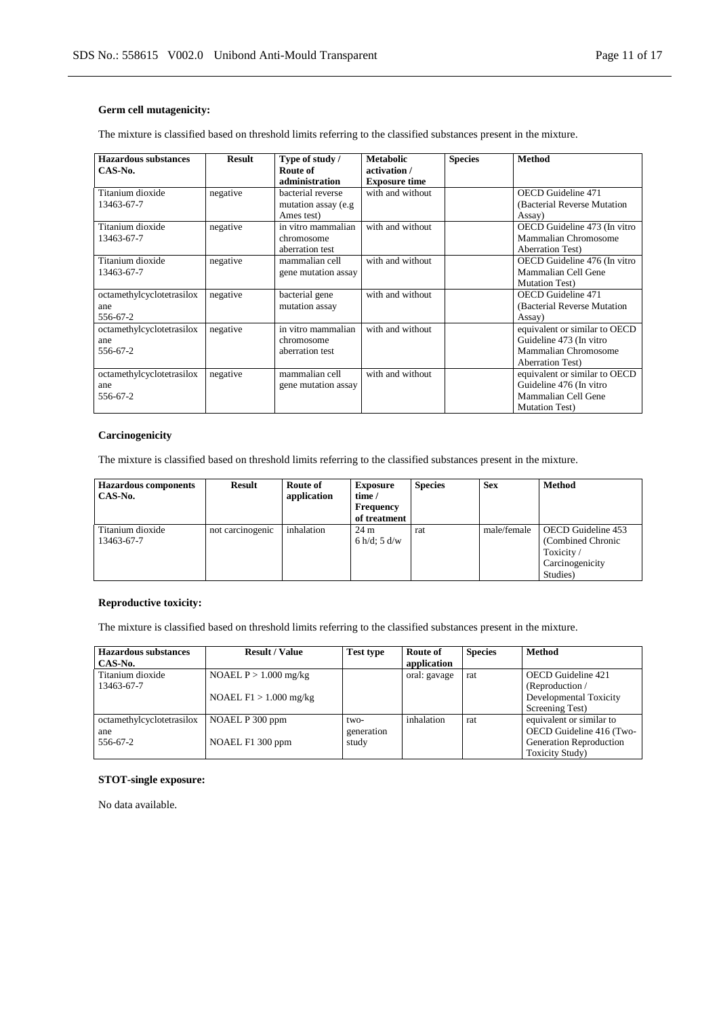### **Germ cell mutagenicity:**

The mixture is classified based on threshold limits referring to the classified substances present in the mixture.

| <b>Hazardous substances</b><br>CAS-No. | <b>Result</b> | Type of study /<br>Route of | <b>Metabolic</b><br>activation / | <b>Species</b> | <b>Method</b>                 |
|----------------------------------------|---------------|-----------------------------|----------------------------------|----------------|-------------------------------|
|                                        |               | administration              | <b>Exposure time</b>             |                |                               |
| Titanium dioxide                       | negative      | bacterial reverse           | with and without                 |                | <b>OECD</b> Guideline 471     |
| 13463-67-7                             |               | mutation assay (e.g.        |                                  |                | (Bacterial Reverse Mutation   |
|                                        |               | Ames test)                  |                                  |                | Assay)                        |
| Titanium dioxide                       | negative      | in vitro mammalian          | with and without                 |                | OECD Guideline 473 (In vitro  |
| 13463-67-7                             |               | chromosome                  |                                  |                | Mammalian Chromosome          |
|                                        |               | aberration test             |                                  |                | <b>Aberration Test</b> )      |
| Titanium dioxide                       | negative      | mammalian cell              | with and without                 |                | OECD Guideline 476 (In vitro  |
| 13463-67-7                             |               | gene mutation assay         |                                  |                | Mammalian Cell Gene           |
|                                        |               |                             |                                  |                | <b>Mutation Test</b> )        |
| octamethylcyclotetrasilox              | negative      | bacterial gene              | with and without                 |                | <b>OECD</b> Guideline 471     |
| ane                                    |               | mutation assay              |                                  |                | (Bacterial Reverse Mutation   |
| 556-67-2                               |               |                             |                                  |                | Assay)                        |
| octamethylcyclotetrasilox              | negative      | in vitro mammalian          | with and without                 |                | equivalent or similar to OECD |
| ane                                    |               | chromosome                  |                                  |                | Guideline 473 (In vitro       |
| 556-67-2                               |               | aberration test             |                                  |                | Mammalian Chromosome          |
|                                        |               |                             |                                  |                | <b>Aberration Test</b> )      |
| octamethylcyclotetrasilox              | negative      | mammalian cell              | with and without                 |                | equivalent or similar to OECD |
| ane                                    |               | gene mutation assay         |                                  |                | Guideline 476 (In vitro       |
| 556-67-2                               |               |                             |                                  |                | Mammalian Cell Gene           |
|                                        |               |                             |                                  |                | <b>Mutation Test</b> )        |

### **Carcinogenicity**

The mixture is classified based on threshold limits referring to the classified substances present in the mixture.

| <b>Hazardous components</b><br>CAS-No. | <b>Result</b>    | Route of<br>application | <b>Exposure</b><br>time $\theta$<br><b>Frequency</b><br>of treatment | <b>Species</b> | <b>Sex</b>  | <b>Method</b>                                                                              |
|----------------------------------------|------------------|-------------------------|----------------------------------------------------------------------|----------------|-------------|--------------------------------------------------------------------------------------------|
| Titanium dioxide<br>13463-67-7         | not carcinogenic | inhalation              | 24 m<br>6 h/d; 5 d/w                                                 | rat            | male/female | <b>OECD</b> Guideline 453<br>(Combined Chronic<br>Toxicity/<br>Carcinogenicity<br>Studies) |

# **Reproductive toxicity:**

The mixture is classified based on threshold limits referring to the classified substances present in the mixture.

| <b>Hazardous substances</b> | <b>Result / Value</b>    | <b>Test type</b> | Route of     | <b>Species</b> | <b>Method</b>            |
|-----------------------------|--------------------------|------------------|--------------|----------------|--------------------------|
| CAS-No.                     |                          |                  | application  |                |                          |
| Titanium dioxide            | NOAEL $P > 1.000$ mg/kg  |                  | oral: gavage | rat            | OECD Guideline 421       |
| 13463-67-7                  |                          |                  |              |                | (Reproduction $/$        |
|                             | NOAEL $F1 > 1.000$ mg/kg |                  |              |                | Developmental Toxicity   |
|                             |                          |                  |              |                | Screening Test)          |
| octamethylcyclotetrasilox   | NOAEL P 300 ppm          | two-             | inhalation   | rat            | equivalent or similar to |
| ane                         |                          | generation       |              |                | OECD Guideline 416 (Two- |
| 556-67-2                    | NOAEL F1 300 ppm         | study            |              |                | Generation Reproduction  |
|                             |                          |                  |              |                | <b>Toxicity Study</b> )  |

#### **STOT-single exposure:**

No data available.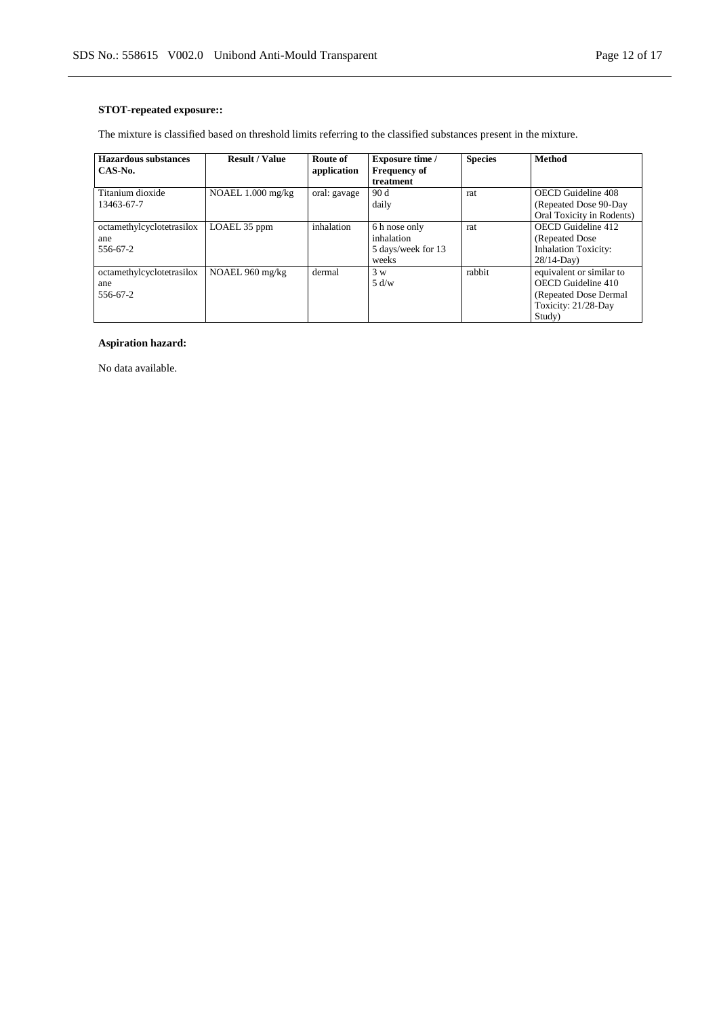## **STOT-repeated exposure::**

The mixture is classified based on threshold limits referring to the classified substances present in the mixture.

| Hazardous substances      | <b>Result / Value</b> | Route of     | <b>Exposure time /</b> | <b>Species</b> | <b>Method</b>               |
|---------------------------|-----------------------|--------------|------------------------|----------------|-----------------------------|
| CAS-No.                   |                       | application  | <b>Frequency of</b>    |                |                             |
|                           |                       |              | treatment              |                |                             |
| Titanium dioxide          | NOAEL $1.000$ mg/kg   | oral: gavage | 90 d                   | rat            | OECD Guideline 408          |
| 13463-67-7                |                       |              | daily                  |                | (Repeated Dose 90-Day)      |
|                           |                       |              |                        |                | Oral Toxicity in Rodents)   |
| octamethylcyclotetrasilox | LOAEL 35 ppm          | inhalation   | 6 h nose only          | rat            | OECD Guideline 412          |
| ane                       |                       |              | inhalation             |                | (Repeated Dose)             |
| 556-67-2                  |                       |              | 5 days/week for 13     |                | <b>Inhalation Toxicity:</b> |
|                           |                       |              | weeks                  |                | $28/14$ -Day)               |
| octamethylcyclotetrasilox | NOAEL 960 mg/kg       | dermal       | 3 w                    | rabbit         | equivalent or similar to    |
| ane                       |                       |              | 5 d/w                  |                | OECD Guideline 410          |
| 556-67-2                  |                       |              |                        |                | (Repeated Dose Dermal)      |
|                           |                       |              |                        |                | Toxicity: 21/28-Day         |
|                           |                       |              |                        |                | Study)                      |

### **Aspiration hazard:**

No data available.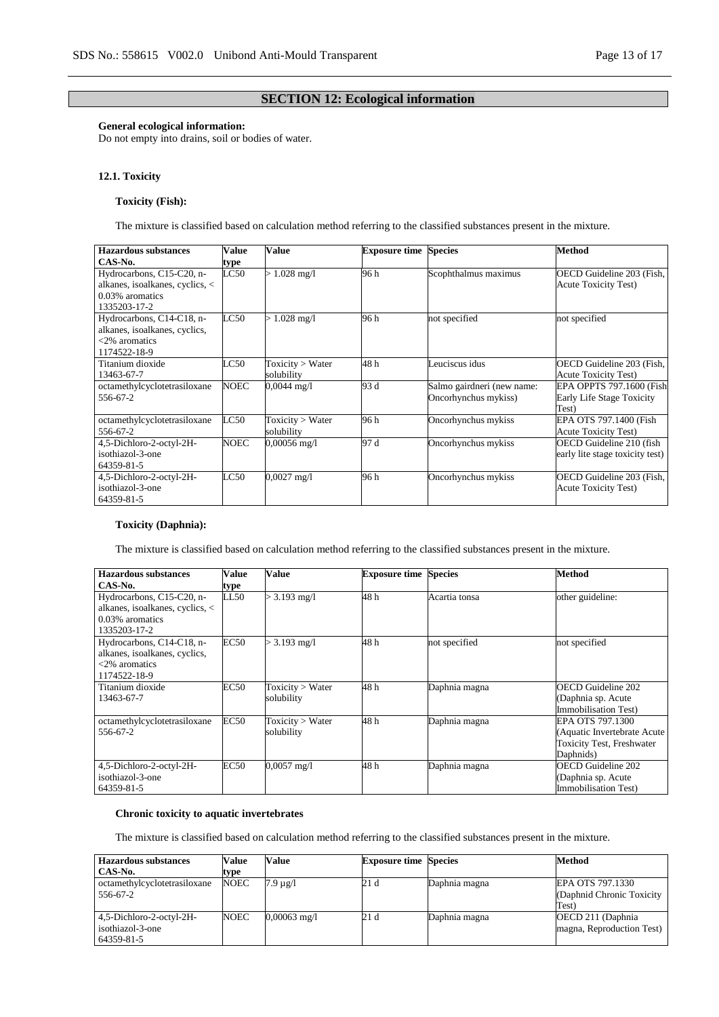## **SECTION 12: Ecological information**

### **General ecological information:**

Do not empty into drains, soil or bodies of water.

#### **12.1. Toxicity**

### **Toxicity (Fish):**

The mixture is classified based on calculation method referring to the classified substances present in the mixture.

| <b>Hazardous substances</b>     | <b>Value</b>     | Value                 | <b>Exposure time Species</b> |                            | Method                          |
|---------------------------------|------------------|-----------------------|------------------------------|----------------------------|---------------------------------|
| CAS-No.                         | type             |                       |                              |                            |                                 |
| Hydrocarbons, C15-C20, n-       | LC50             | $> 1.028$ mg/l        | 96 h                         | Scophthalmus maximus       | OECD Guideline 203 (Fish,       |
| alkanes, isoalkanes, cyclics, < |                  |                       |                              |                            | <b>Acute Toxicity Test)</b>     |
| 0.03% aromatics                 |                  |                       |                              |                            |                                 |
| 1335203-17-2                    |                  |                       |                              |                            |                                 |
| Hydrocarbons, C14-C18, n-       | $_{\text{LC50}}$ | $1.028$ mg/l          | 96 h                         | not specified              | not specified                   |
| alkanes, isoalkanes, cyclics,   |                  |                       |                              |                            |                                 |
| $<2\%$ aromatics                |                  |                       |                              |                            |                                 |
| 1174522-18-9                    |                  |                       |                              |                            |                                 |
| Titanium dioxide                | LC50             | Toxicity > Water      | 48 h                         | Leuciscus idus             | OECD Guideline 203 (Fish,       |
| 13463-67-7                      |                  | solubility            |                              |                            | <b>Acute Toxicity Test)</b>     |
| octamethylcyclotetrasiloxane    | NOEC             | $0,0044 \text{ mg}/1$ | 93 d                         | Salmo gairdneri (new name: | EPA OPPTS 797.1600 (Fish        |
| 556-67-2                        |                  |                       |                              | Oncorhynchus mykiss)       | Early Life Stage Toxicity       |
|                                 |                  |                       |                              |                            | Test)                           |
| octamethylcyclotetrasiloxane    | LC50             | Toxicity > Water      | 96 h                         | Oncorhynchus mykiss        | EPA OTS 797.1400 (Fish          |
| 556-67-2                        |                  | solubility            |                              |                            | <b>Acute Toxicity Test)</b>     |
| 4,5-Dichloro-2-octyl-2H-        | <b>NOEC</b>      | $0,00056$ mg/l        | 97 d                         | Oncorhynchus mykiss        | OECD Guideline 210 (fish        |
| isothiazol-3-one                |                  |                       |                              |                            | early lite stage toxicity test) |
| 64359-81-5                      |                  |                       |                              |                            |                                 |
| 4,5-Dichloro-2-octyl-2H-        | LC50             | $0.0027$ mg/l         | 96 h                         | Oncorhynchus mykiss        | OECD Guideline 203 (Fish,       |
| isothiazol-3-one                |                  |                       |                              |                            | <b>Acute Toxicity Test)</b>     |
| 64359-81-5                      |                  |                       |                              |                            |                                 |

### **Toxicity (Daphnia):**

The mixture is classified based on calculation method referring to the classified substances present in the mixture.

| Hazardous substances            | Value       | Value                 | <b>Exposure time Species</b> |               | <b>Method</b>                    |
|---------------------------------|-------------|-----------------------|------------------------------|---------------|----------------------------------|
| CAS-No.                         | type        |                       |                              |               |                                  |
| Hydrocarbons, C15-C20, n-       | LL50        | $> 3.193$ mg/l        | 48 h                         | Acartia tonsa | other guideline:                 |
| alkanes, isoalkanes, cyclics, < |             |                       |                              |               |                                  |
| 0.03% aromatics                 |             |                       |                              |               |                                  |
| 1335203-17-2                    |             |                       |                              |               |                                  |
| Hydrocarbons, C14-C18, n-       | <b>EC50</b> | $> 3.193$ mg/l        | 48 h                         | not specified | not specified                    |
| alkanes, isoalkanes, cyclics,   |             |                       |                              |               |                                  |
| $<2\%$ aromatics                |             |                       |                              |               |                                  |
| 1174522-18-9                    |             |                       |                              |               |                                  |
| Titanium dioxide                | <b>EC50</b> | Toxicity $>$ Water    | 48 h                         | Daphnia magna | OECD Guideline 202               |
| 13463-67-7                      |             | solubility            |                              |               | (Daphnia sp. Acute               |
|                                 |             |                       |                              |               | Immobilisation Test)             |
| octamethylcyclotetrasiloxane    | EC50        | Toxicity > Water      | 48 h                         | Daphnia magna | EPA OTS 797.1300                 |
| 556-67-2                        |             | solubility            |                              |               | (Aquatic Invertebrate Acute)     |
|                                 |             |                       |                              |               | <b>Toxicity Test, Freshwater</b> |
|                                 |             |                       |                              |               | Daphnids)                        |
| 4,5-Dichloro-2-octyl-2H-        | EC50        | $0,0057 \text{ mg}/1$ | 48 h                         | Daphnia magna | OECD Guideline 202               |
| isothiazol-3-one                |             |                       |                              |               | (Daphnia sp. Acute               |
| 64359-81-5                      |             |                       |                              |               | Immobilisation Test)             |

#### **Chronic toxicity to aquatic invertebrates**

The mixture is classified based on calculation method referring to the classified substances present in the mixture.

| <b>Hazardous substances</b>                                | Value       | Value          | <b>Exposure time Species</b> |               | Method                                          |
|------------------------------------------------------------|-------------|----------------|------------------------------|---------------|-------------------------------------------------|
| CAS-No.                                                    | type        |                |                              |               |                                                 |
| octamethylcyclotetrasiloxane                               | <b>NOEC</b> | $7.9 \mu$ g/l  | 21 d                         | Daphnia magna | EPA OTS 797.1330                                |
| 556-67-2                                                   |             |                |                              |               | (Daphnid Chronic Toxicity)<br>Test)             |
| 4,5-Dichloro-2-octyl-2H-<br>isothiazol-3-one<br>64359-81-5 | NOEC        | $0,00063$ mg/l | 21 d                         | Daphnia magna | OECD 211 (Daphnia)<br>magna, Reproduction Test) |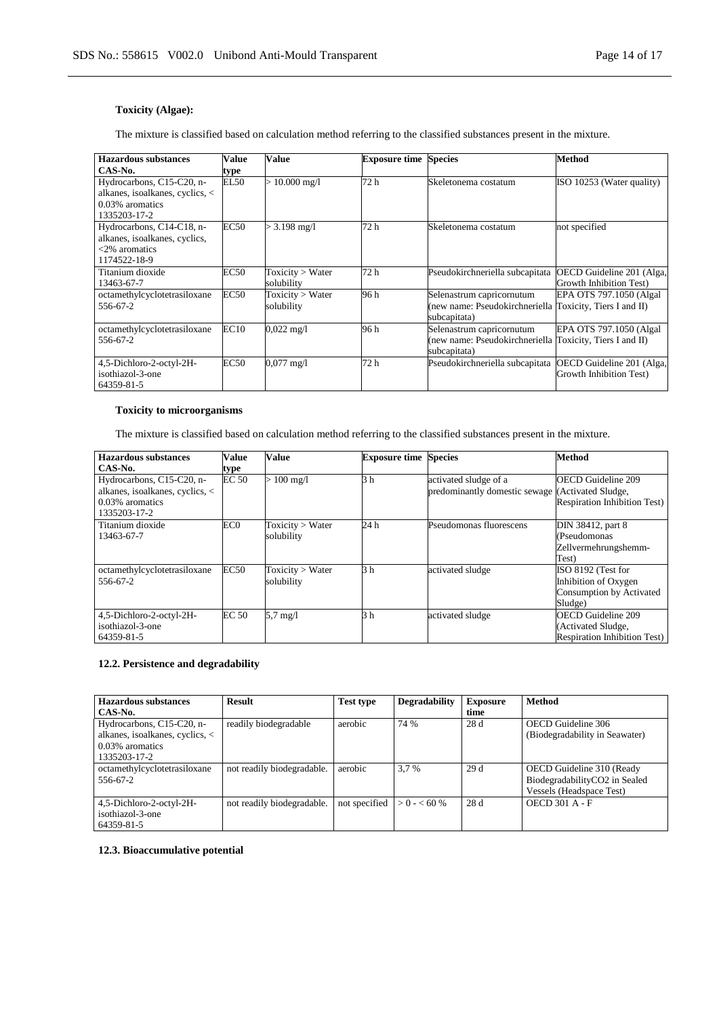## **Toxicity (Algae):**

The mixture is classified based on calculation method referring to the classified substances present in the mixture.

| Hazardous substances            | Value       | Value                | <b>Exposure time Species</b> |                                                          | <b>Method</b>             |
|---------------------------------|-------------|----------------------|------------------------------|----------------------------------------------------------|---------------------------|
| CAS-No.                         | type        |                      |                              |                                                          |                           |
| Hydrocarbons, C15-C20, n-       | EL50        | $> 10.000$ mg/l      | 72h                          | Skeletonema costatum                                     | ISO 10253 (Water quality) |
| alkanes, isoalkanes, cyclics, < |             |                      |                              |                                                          |                           |
| 0.03% aromatics                 |             |                      |                              |                                                          |                           |
| 1335203-17-2                    |             |                      |                              |                                                          |                           |
| Hydrocarbons, C14-C18, n-       | <b>EC50</b> | $> 3.198$ mg/l       | 72 h                         | Skeletonema costatum                                     | not specified             |
| alkanes, isoalkanes, cyclics,   |             |                      |                              |                                                          |                           |
| $<$ 2% aromatics                |             |                      |                              |                                                          |                           |
| 1174522-18-9                    |             |                      |                              |                                                          |                           |
| Titanium dioxide                | EC50        | Toxicity > Water     | 72 h                         | Pseudokirchneriella subcapitata                          | OECD Guideline 201 (Alga, |
| 13463-67-7                      |             | solubility           |                              |                                                          | Growth Inhibition Test)   |
| octamethylcyclotetrasiloxane    | EC50        | Toxicity > Water     | 96 h                         | Selenastrum capricornutum                                | EPA OTS 797.1050 (Algal)  |
| 556-67-2                        |             | solubility           |                              | (new name: Pseudokirchneriella Toxicity, Tiers I and II) |                           |
|                                 |             |                      |                              | subcapitata)                                             |                           |
| octamethylcyclotetrasiloxane    | EC10        | $0,022 \text{ mg}/1$ | 96 h                         | Selenastrum capricornutum                                | EPA OTS 797.1050 (Algal   |
| 556-67-2                        |             |                      |                              | (new name: Pseudokirchneriella Toxicity, Tiers I and II) |                           |
|                                 |             |                      |                              | subcapitata)                                             |                           |
| 4,5-Dichloro-2-octyl-2H-        | <b>EC50</b> | $0.077$ mg/l         | 72 h                         | Pseudokirchneriella subcapitata                          | OECD Guideline 201 (Alga, |
| isothiazol-3-one                |             |                      |                              |                                                          | Growth Inhibition Test)   |
| 64359-81-5                      |             |                      |                              |                                                          |                           |

### **Toxicity to microorganisms**

The mixture is classified based on calculation method referring to the classified substances present in the mixture.

| <b>Hazardous</b> substances                                                                     | Value        | Value                          | <b>Exposure time Species</b> |                                                                           | <b>Method</b>                                                                          |
|-------------------------------------------------------------------------------------------------|--------------|--------------------------------|------------------------------|---------------------------------------------------------------------------|----------------------------------------------------------------------------------------|
| CAS-No.                                                                                         | type         |                                |                              |                                                                           |                                                                                        |
| Hydrocarbons, C15-C20, n-<br>alkanes, isoalkanes, cyclics, <<br>0.03% aromatics<br>1335203-17-2 | <b>EC 50</b> | $> 100$ mg/l                   | 3h                           | activated sludge of a<br>predominantly domestic sewage (Activated Sludge, | <b>OECD</b> Guideline 209<br>Respiration Inhibition Test)                              |
| Titanium dioxide<br>13463-67-7                                                                  | EC0          | Toxicity > Water<br>solubility | 24 h                         | Pseudomonas fluorescens                                                   | DIN 38412, part 8<br>(Pseudomonas<br>Zellvermehrungshemm-<br>Test)                     |
| octamethylcyclotetrasiloxane<br>556-67-2                                                        | EC50         | Toxicity > Water<br>solubility | 3h                           | activated sludge                                                          | ISO 8192 (Test for<br>Inhibition of Oxygen<br>Consumption by Activated<br>Sludge)      |
| 4,5-Dichloro-2-octyl-2H-<br>isothiazol-3-one<br>64359-81-5                                      | <b>EC 50</b> | $5.7 \text{ mg}/1$             | 3h                           | activated sludge                                                          | <b>OECD</b> Guideline 209<br>(Activated Sludge,<br><b>Respiration Inhibition Test)</b> |

### **12.2. Persistence and degradability**

| <b>Hazardous substances</b><br>CAS-No.                                                          | <b>Result</b>              | <b>Test type</b> | <b>Degradability</b> | <b>Exposure</b><br>time | <b>Method</b>                                                                          |
|-------------------------------------------------------------------------------------------------|----------------------------|------------------|----------------------|-------------------------|----------------------------------------------------------------------------------------|
| Hydrocarbons, C15-C20, n-<br>alkanes, isoalkanes, cyclics, <<br>0.03% aromatics<br>1335203-17-2 | readily biodegradable      | aerobic          | 74 %                 | 28 d                    | OECD Guideline 306<br>(Biodegradability in Seawater)                                   |
| octamethylcyclotetrasiloxane<br>556-67-2                                                        | not readily biodegradable. | aerobic          | 3.7 %                | 29d                     | OECD Guideline 310 (Ready<br>BiodegradabilityCO2 in Sealed<br>Vessels (Headspace Test) |
| 4,5-Dichloro-2-octyl-2H-<br>isothiazol-3-one<br>64359-81-5                                      | not readily biodegradable. | not specified    | $> 0 - 60\%$         | 28d                     | OECD $301$ A - F                                                                       |

### **12.3. Bioaccumulative potential**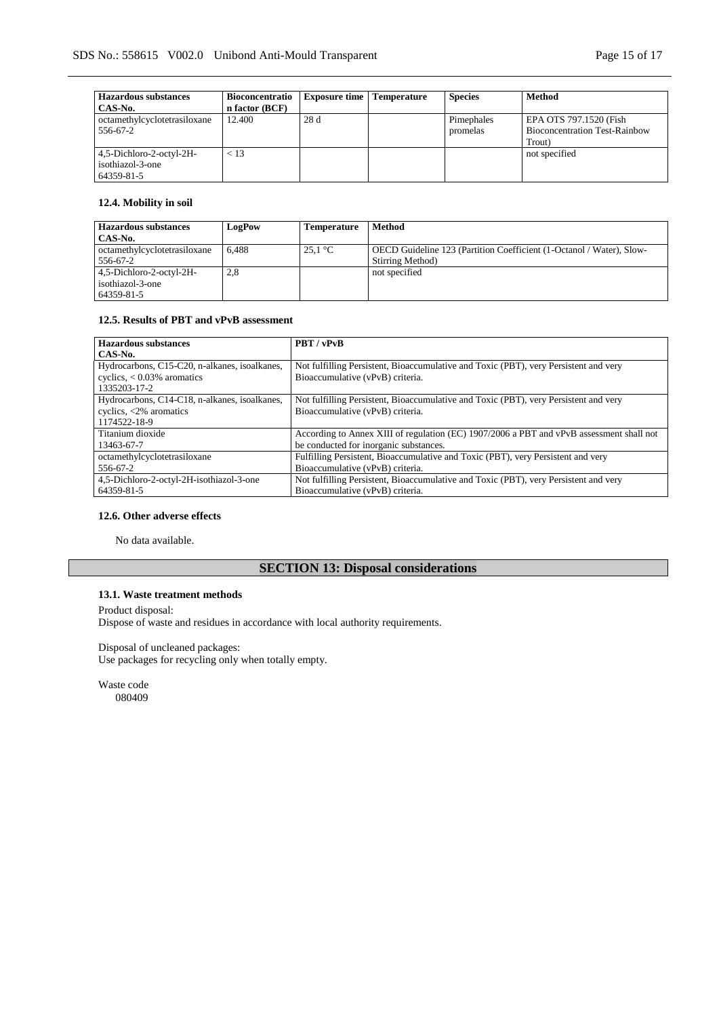| <b>Hazardous substances</b>  | <b>Bioconcentratio</b> | <b>Exposure time</b> | <b>Temperature</b> | <b>Species</b> | <b>Method</b>                        |
|------------------------------|------------------------|----------------------|--------------------|----------------|--------------------------------------|
| CAS-No.                      | n factor (BCF)         |                      |                    |                |                                      |
| octamethylcyclotetrasiloxane | 12.400                 | 28d                  |                    | Pimephales     | EPA OTS 797.1520 (Fish               |
| 556-67-2                     |                        |                      |                    | promelas       | <b>Bioconcentration Test-Rainbow</b> |
|                              |                        |                      |                    |                | Trout)                               |
| 4,5-Dichloro-2-octyl-2H-     | < 13                   |                      |                    |                | not specified                        |
| isothiazol-3-one             |                        |                      |                    |                |                                      |
| 64359-81-5                   |                        |                      |                    |                |                                      |

### **12.4. Mobility in soil**

| <b>Hazardous substances</b><br>CAS-No.                     | LogPow | Temperature       | Method                                                                                   |
|------------------------------------------------------------|--------|-------------------|------------------------------------------------------------------------------------------|
| octamethylcyclotetrasiloxane<br>556-67-2                   | 6.488  | $25.1 \text{ °C}$ | OECD Guideline 123 (Partition Coefficient (1-Octanol / Water), Slow-<br>Stirring Method) |
| 4,5-Dichloro-2-octyl-2H-<br>isothiazol-3-one<br>64359-81-5 | 2,8    |                   | not specified                                                                            |

### **12.5. Results of PBT and vPvB assessment**

| <b>Hazardous substances</b>                   | PBT/vPvB                                                                                 |  |  |
|-----------------------------------------------|------------------------------------------------------------------------------------------|--|--|
| CAS-No.                                       |                                                                                          |  |  |
| Hydrocarbons, C15-C20, n-alkanes, isoalkanes, | Not fulfilling Persistent, Bioaccumulative and Toxic (PBT), very Persistent and very     |  |  |
| cyclics, $< 0.03\%$ aromatics                 | Bioaccumulative (vPvB) criteria.                                                         |  |  |
| 1335203-17-2                                  |                                                                                          |  |  |
| Hydrocarbons, C14-C18, n-alkanes, isoalkanes, | Not fulfilling Persistent, Bioaccumulative and Toxic (PBT), very Persistent and very     |  |  |
| cyclics, $\langle 2\%$ aromatics              | Bioaccumulative (vPvB) criteria.                                                         |  |  |
| 1174522-18-9                                  |                                                                                          |  |  |
| Titanium dioxide                              | According to Annex XIII of regulation (EC) 1907/2006 a PBT and vPvB assessment shall not |  |  |
| 13463-67-7                                    | be conducted for inorganic substances.                                                   |  |  |
| octamethylcyclotetrasiloxane                  | Fulfilling Persistent, Bioaccumulative and Toxic (PBT), very Persistent and very         |  |  |
| 556-67-2                                      | Bioaccumulative (vPvB) criteria.                                                         |  |  |
| 4,5-Dichloro-2-octyl-2H-isothiazol-3-one      | Not fulfilling Persistent, Bioaccumulative and Toxic (PBT), very Persistent and very     |  |  |
| 64359-81-5                                    | Bioaccumulative (vPvB) criteria.                                                         |  |  |

### **12.6. Other adverse effects**

No data available.

# **SECTION 13: Disposal considerations**

# **13.1. Waste treatment methods**

Product disposal:

Dispose of waste and residues in accordance with local authority requirements.

#### Disposal of uncleaned packages:

Use packages for recycling only when totally empty.

Waste code 080409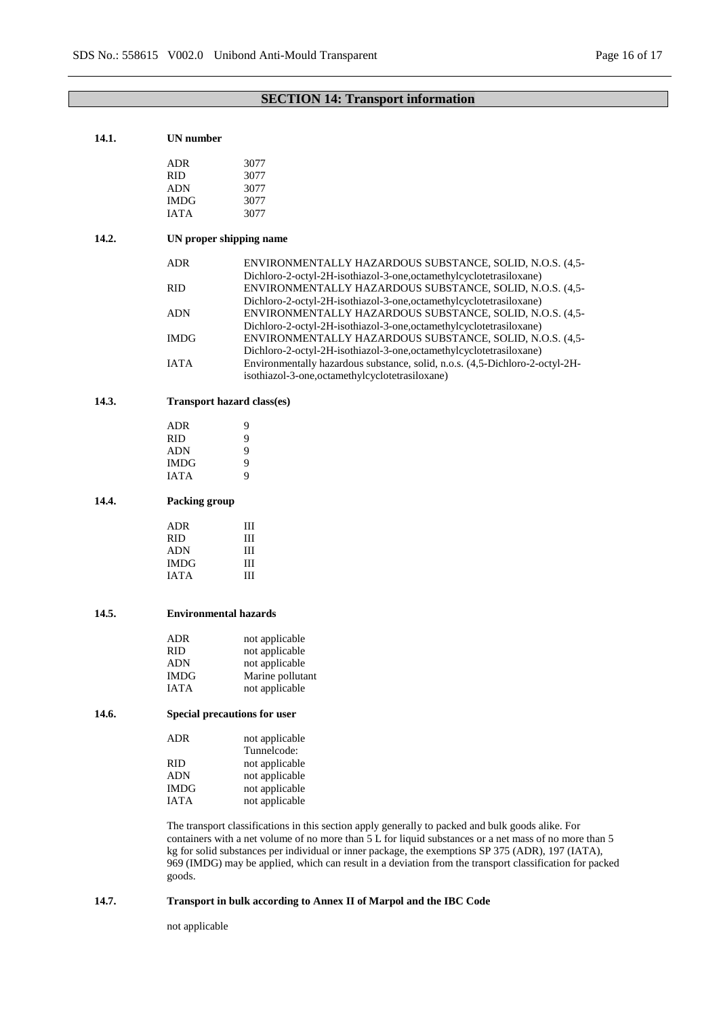# **SECTION 14: Transport information**

| 14.1. | <b>UN</b> number             |                                                                                                                                                                                                                                                                                                                                                                                                                             |  |  |  |  |  |
|-------|------------------------------|-----------------------------------------------------------------------------------------------------------------------------------------------------------------------------------------------------------------------------------------------------------------------------------------------------------------------------------------------------------------------------------------------------------------------------|--|--|--|--|--|
|       | <b>ADR</b>                   | 3077                                                                                                                                                                                                                                                                                                                                                                                                                        |  |  |  |  |  |
|       | <b>RID</b>                   | 3077                                                                                                                                                                                                                                                                                                                                                                                                                        |  |  |  |  |  |
|       |                              |                                                                                                                                                                                                                                                                                                                                                                                                                             |  |  |  |  |  |
|       | <b>ADN</b>                   | 3077                                                                                                                                                                                                                                                                                                                                                                                                                        |  |  |  |  |  |
|       | <b>IMDG</b>                  | 3077                                                                                                                                                                                                                                                                                                                                                                                                                        |  |  |  |  |  |
|       | <b>IATA</b>                  | 3077                                                                                                                                                                                                                                                                                                                                                                                                                        |  |  |  |  |  |
| 14.2. | UN proper shipping name      |                                                                                                                                                                                                                                                                                                                                                                                                                             |  |  |  |  |  |
|       | <b>ADR</b>                   | ENVIRONMENTALLY HAZARDOUS SUBSTANCE, SOLID, N.O.S. (4,5-<br>Dichloro-2-octyl-2H-isothiazol-3-one, octamethylcyclotetrasiloxane)                                                                                                                                                                                                                                                                                             |  |  |  |  |  |
|       | <b>RID</b>                   | ENVIRONMENTALLY HAZARDOUS SUBSTANCE, SOLID, N.O.S. (4,5-<br>Dichloro-2-octyl-2H-isothiazol-3-one,octamethylcyclotetrasiloxane)                                                                                                                                                                                                                                                                                              |  |  |  |  |  |
|       | ADN                          | ENVIRONMENTALLY HAZARDOUS SUBSTANCE, SOLID, N.O.S. (4,5-<br>Dichloro-2-octyl-2H-isothiazol-3-one,octamethylcyclotetrasiloxane)                                                                                                                                                                                                                                                                                              |  |  |  |  |  |
|       | <b>IMDG</b>                  | ENVIRONMENTALLY HAZARDOUS SUBSTANCE, SOLID, N.O.S. (4,5-<br>Dichloro-2-octyl-2H-isothiazol-3-one,octamethylcyclotetrasiloxane)                                                                                                                                                                                                                                                                                              |  |  |  |  |  |
|       | <b>IATA</b>                  | Environmentally hazardous substance, solid, n.o.s. (4,5-Dichloro-2-octyl-2H-<br>isothiazol-3-one, octamethylcyclotetrasiloxane)                                                                                                                                                                                                                                                                                             |  |  |  |  |  |
| 14.3. |                              | <b>Transport hazard class(es)</b>                                                                                                                                                                                                                                                                                                                                                                                           |  |  |  |  |  |
|       | <b>ADR</b>                   | 9                                                                                                                                                                                                                                                                                                                                                                                                                           |  |  |  |  |  |
|       | <b>RID</b>                   | 9                                                                                                                                                                                                                                                                                                                                                                                                                           |  |  |  |  |  |
|       | <b>ADN</b>                   | 9                                                                                                                                                                                                                                                                                                                                                                                                                           |  |  |  |  |  |
|       | <b>IMDG</b>                  | 9                                                                                                                                                                                                                                                                                                                                                                                                                           |  |  |  |  |  |
|       | IATA                         | 9                                                                                                                                                                                                                                                                                                                                                                                                                           |  |  |  |  |  |
|       |                              |                                                                                                                                                                                                                                                                                                                                                                                                                             |  |  |  |  |  |
| 14.4. | Packing group                |                                                                                                                                                                                                                                                                                                                                                                                                                             |  |  |  |  |  |
|       | <b>ADR</b>                   | Ш                                                                                                                                                                                                                                                                                                                                                                                                                           |  |  |  |  |  |
|       | <b>RID</b>                   | Ш                                                                                                                                                                                                                                                                                                                                                                                                                           |  |  |  |  |  |
|       | <b>ADN</b>                   | Ш                                                                                                                                                                                                                                                                                                                                                                                                                           |  |  |  |  |  |
|       | <b>IMDG</b>                  | Ш                                                                                                                                                                                                                                                                                                                                                                                                                           |  |  |  |  |  |
|       | <b>IATA</b>                  | Ш                                                                                                                                                                                                                                                                                                                                                                                                                           |  |  |  |  |  |
| 14.5. | <b>Environmental hazards</b> |                                                                                                                                                                                                                                                                                                                                                                                                                             |  |  |  |  |  |
|       | ADR                          | not applicable                                                                                                                                                                                                                                                                                                                                                                                                              |  |  |  |  |  |
|       | RID                          | not applicable                                                                                                                                                                                                                                                                                                                                                                                                              |  |  |  |  |  |
|       | <b>ADN</b>                   | not applicable                                                                                                                                                                                                                                                                                                                                                                                                              |  |  |  |  |  |
|       | <b>IMDG</b>                  | Marine pollutant                                                                                                                                                                                                                                                                                                                                                                                                            |  |  |  |  |  |
|       |                              |                                                                                                                                                                                                                                                                                                                                                                                                                             |  |  |  |  |  |
|       | <b>IATA</b>                  | not applicable                                                                                                                                                                                                                                                                                                                                                                                                              |  |  |  |  |  |
| 14.6. | Special precautions for user |                                                                                                                                                                                                                                                                                                                                                                                                                             |  |  |  |  |  |
|       | ADR                          | not applicable<br>Tunnelcode:                                                                                                                                                                                                                                                                                                                                                                                               |  |  |  |  |  |
|       | <b>RID</b>                   | not applicable                                                                                                                                                                                                                                                                                                                                                                                                              |  |  |  |  |  |
|       | <b>ADN</b>                   | not applicable                                                                                                                                                                                                                                                                                                                                                                                                              |  |  |  |  |  |
|       | <b>IMDG</b>                  | not applicable                                                                                                                                                                                                                                                                                                                                                                                                              |  |  |  |  |  |
|       | <b>IATA</b>                  | not applicable                                                                                                                                                                                                                                                                                                                                                                                                              |  |  |  |  |  |
|       |                              | The transport classifications in this section apply generally to packed and bulk goods alike. For<br>containers with a net volume of no more than 5 L for liquid substances or a net mass of no more than 5<br>kg for solid substances per individual or inner package, the exemptions SP 375 (ADR), 197 (IATA),<br>969 (IMDG) may be applied, which can result in a deviation from the transport classification for packed |  |  |  |  |  |
|       | goods.                       |                                                                                                                                                                                                                                                                                                                                                                                                                             |  |  |  |  |  |
| 14.7. |                              | Transport in bulk according to Annex II of Marpol and the IBC Code                                                                                                                                                                                                                                                                                                                                                          |  |  |  |  |  |

not applicable